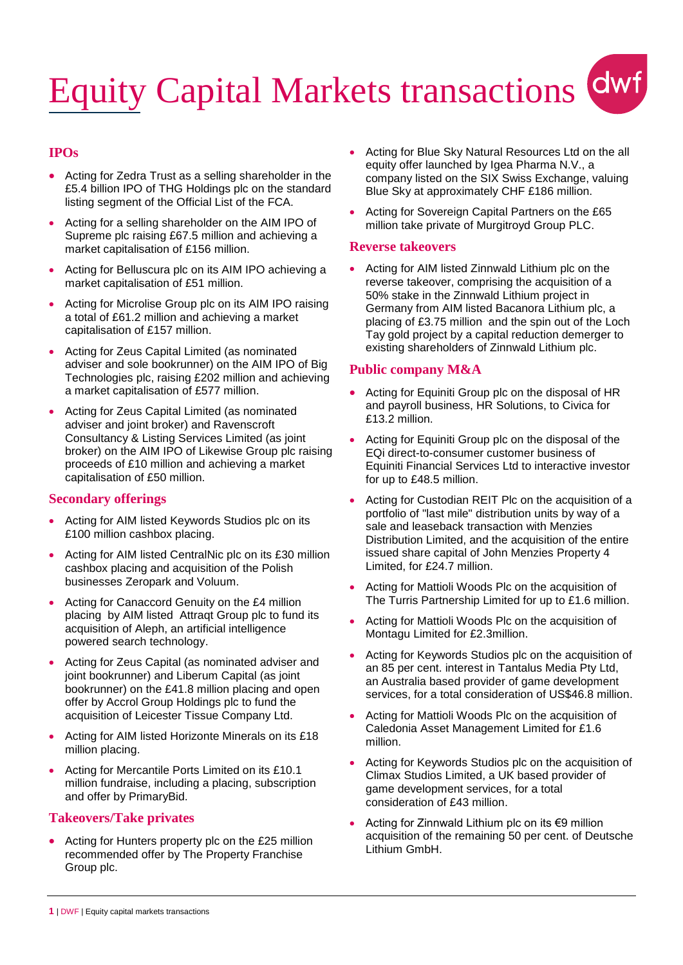# Equity Capital Markets transactions dwf

# **IPOs**

- Acting for Zedra Trust as a selling shareholder in the £5.4 billion IPO of THG Holdings plc on the standard listing segment of the Official List of the FCA.
- Acting for a selling shareholder on the AIM IPO of Supreme plc raising £67.5 million and achieving a market capitalisation of £156 million.
- Acting for Belluscura plc on its AIM IPO achieving a market capitalisation of £51 million.
- Acting for Microlise Group plc on its AIM IPO raising a total of £61.2 million and achieving a market capitalisation of £157 million.
- Acting for Zeus Capital Limited (as nominated adviser and sole bookrunner) on the AIM IPO of Big Technologies plc, raising £202 million and achieving a market capitalisation of £577 million.
- Acting for Zeus Capital Limited (as nominated adviser and joint broker) and Ravenscroft Consultancy & Listing Services Limited (as joint broker) on the AIM IPO of Likewise Group plc raising proceeds of £10 million and achieving a market capitalisation of £50 million.

## **Secondary offerings**

- Acting for AIM listed Keywords Studios plc on its £100 million cashbox placing.
- Acting for AIM listed CentralNic plc on its £30 million cashbox placing and acquisition of the Polish businesses Zeropark and Voluum.
- Acting for Canaccord Genuity on the £4 million placing by AIM listed Attraqt Group plc to fund its acquisition of Aleph, an artificial intelligence powered search technology.
- Acting for Zeus Capital (as nominated adviser and joint bookrunner) and Liberum Capital (as joint bookrunner) on the £41.8 million placing and open offer by Accrol Group Holdings plc to fund the acquisition of Leicester Tissue Company Ltd.
- Acting for AIM listed Horizonte Minerals on its £18 million placing.
- Acting for Mercantile Ports Limited on its £10.1 million fundraise, including a placing, subscription and offer by PrimaryBid.

#### **Takeovers/Take privates**

 Acting for Hunters property plc on the £25 million recommended offer by The Property Franchise Group plc.

- Acting for Blue Sky Natural Resources Ltd on the all equity offer launched by Igea Pharma N.V., a company listed on the SIX Swiss Exchange, valuing Blue Sky at approximately CHF £186 million.
- Acting for Sovereign Capital Partners on the £65 million take private of Murgitroyd Group PLC.

#### **Reverse takeovers**

• Acting for AIM listed Zinnwald Lithium plc on the reverse takeover, comprising the acquisition of a 50% stake in the Zinnwald Lithium project in Germany from AIM listed Bacanora Lithium plc, a placing of £3.75 million and the spin out of the Loch Tay gold project by a capital reduction demerger to existing shareholders of Zinnwald Lithium plc.

## **Public company M&A**

- Acting for Equiniti Group plc on the disposal of HR and payroll business, HR Solutions, to Civica for £13.2 million.
- Acting for Equiniti Group plc on the disposal of the EQi direct-to-consumer customer business of Equiniti Financial Services Ltd to interactive investor for up to £48.5 million.
- Acting for Custodian REIT Plc on the acquisition of a portfolio of "last mile" distribution units by way of a sale and leaseback transaction with Menzies Distribution Limited, and the acquisition of the entire issued share capital of John Menzies Property 4 Limited, for £24.7 million.
- Acting for Mattioli Woods Plc on the acquisition of The Turris Partnership Limited for up to £1.6 million.
- Acting for Mattioli Woods Plc on the acquisition of Montagu Limited for £2.3million.
- Acting for Keywords Studios plc on the acquisition of an 85 per cent. interest in Tantalus Media Pty Ltd, an Australia based provider of game development services, for a total consideration of US\$46.8 million.
- Acting for Mattioli Woods Plc on the acquisition of Caledonia Asset Management Limited for £1.6 million.
- Acting for Keywords Studios plc on the acquisition of Climax Studios Limited, a UK based provider of game development services, for a total consideration of £43 million.
- Acting for Zinnwald Lithium plc on its €9 million acquisition of the remaining 50 per cent. of Deutsche Lithium GmbH.